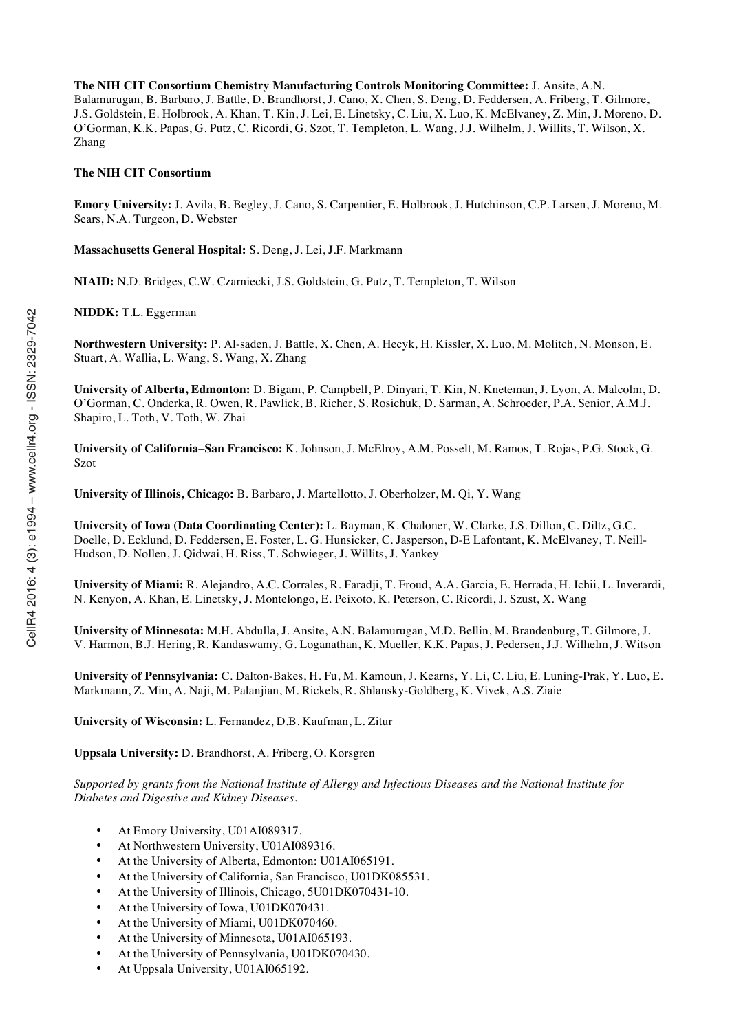**The NIH CIT Consortium Chemistry Manufacturing Controls Monitoring Committee:** J. Ansite, A.N. Balamurugan, B. Barbaro, J. Battle, D. Brandhorst, J. Cano, X. Chen, S. Deng, D. Feddersen, A. Friberg, T. Gilmore, J.S. Goldstein, E. Holbrook, A. Khan, T. Kin, J. Lei, E. Linetsky, C. Liu, X. Luo, K. McElvaney, Z. Min, J. Moreno, D. O'Gorman, K.K. Papas, G. Putz, C. Ricordi, G. Szot, T. Templeton, L. Wang, J.J. Wilhelm, J. Willits, T. Wilson, X. Zhang

#### **The NIH CIT Consortium**

**Emory University:** J. Avila, B. Begley, J. Cano, S. Carpentier, E. Holbrook, J. Hutchinson, C.P. Larsen, J. Moreno, M. Sears, N.A. Turgeon, D. Webster

**Massachusetts General Hospital:** S. Deng, J. Lei, J.F. Markmann

**NIAID:** N.D. Bridges, C.W. Czarniecki, J.S. Goldstein, G. Putz, T. Templeton, T. Wilson

**NIDDK:** T.L. Eggerman

**Northwestern University:** P. Al-saden, J. Battle, X. Chen, A. Hecyk, H. Kissler, X. Luo, M. Molitch, N. Monson, E. Stuart, A. Wallia, L. Wang, S. Wang, X. Zhang

**University of Alberta, Edmonton:** D. Bigam, P. Campbell, P. Dinyari, T. Kin, N. Kneteman, J. Lyon, A. Malcolm, D. O'Gorman, C. Onderka, R. Owen, R. Pawlick, B. Richer, S. Rosichuk, D. Sarman, A. Schroeder, P.A. Senior, A.M.J. Shapiro, L. Toth, V. Toth, W. Zhai

**University of California–San Francisco:** K. Johnson, J. McElroy, A.M. Posselt, M. Ramos, T. Rojas, P.G. Stock, G. Szot

**University of Illinois, Chicago:** B. Barbaro, J. Martellotto, J. Oberholzer, M. Qi, Y. Wang

**University of Iowa (Data Coordinating Center):** L. Bayman, K. Chaloner, W. Clarke, J.S. Dillon, C. Diltz, G.C. Doelle, D. Ecklund, D. Feddersen, E. Foster, L. G. Hunsicker, C. Jasperson, D-E Lafontant, K. McElvaney, T. Neill-Hudson, D. Nollen, J. Qidwai, H. Riss, T. Schwieger, J. Willits, J. Yankey

**University of Miami:** R. Alejandro, A.C. Corrales, R. Faradji, T. Froud, A.A. Garcia, E. Herrada, H. Ichii, L. Inverardi, N. Kenyon, A. Khan, E. Linetsky, J. Montelongo, E. Peixoto, K. Peterson, C. Ricordi, J. Szust, X. Wang

**University of Minnesota:** M.H. Abdulla, J. Ansite, A.N. Balamurugan, M.D. Bellin, M. Brandenburg, T. Gilmore, J. V. Harmon, B.J. Hering, R. Kandaswamy, G. Loganathan, K. Mueller, K.K. Papas, J. Pedersen, J.J. Wilhelm, J. Witson

**University of Pennsylvania:** C. Dalton-Bakes, H. Fu, M. Kamoun, J. Kearns, Y. Li, C. Liu, E. Luning-Prak, Y. Luo, E. Markmann, Z. Min, A. Naji, M. Palanjian, M. Rickels, R. Shlansky-Goldberg, K. Vivek, A.S. Ziaie

**University of Wisconsin:** L. Fernandez, D.B. Kaufman, L. Zitur

**Uppsala University:** D. Brandhorst, A. Friberg, O. Korsgren

*Supported by grants from the National Institute of Allergy and Infectious Diseases and the National Institute for Diabetes and Digestive and Kidney Diseases.*

- At Emory University, U01AI089317.
- At Northwestern University, U01AI089316.
- At the University of Alberta, Edmonton: U01AI065191.
- At the University of California, San Francisco, U01DK085531.
- At the University of Illinois, Chicago, 5U01DK070431-10.
- At the University of Iowa, U01DK070431.
- At the University of Miami, U01DK070460.
- At the University of Minnesota, U01AI065193.
- At the University of Pennsylvania, U01DK070430.
- At Uppsala University, U01AI065192.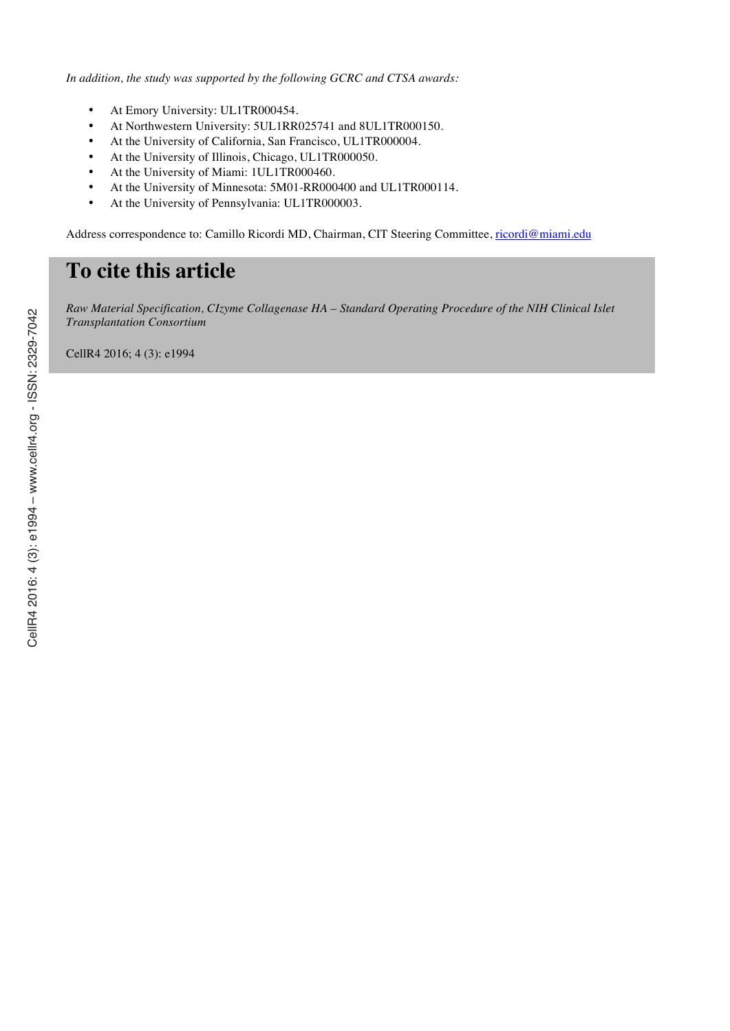*In addition, the study was supported by the following GCRC and CTSA awards:*

- At Emory University: UL1TR000454.
- At Northwestern University: 5UL1RR025741 and 8UL1TR000150.
- At the University of California, San Francisco, UL1TR000004.
- At the University of Illinois, Chicago, UL1TR000050.
- At the University of Miami: 1UL1TR000460.
- At the University of Minnesota: 5M01-RR000400 and UL1TR000114.
- At the University of Pennsylvania: UL1TR000003.

Address correspondence to: Camillo Ricordi MD, Chairman, CIT Steering Committee, ricordi@miami.edu

# **To cite this article**

*Raw Material Specification, CIzyme Collagenase HA – Standard Operating Procedure of the NIH Clinical Islet Transplantation Consortium*

CellR4 2016; 4 (3): e1994